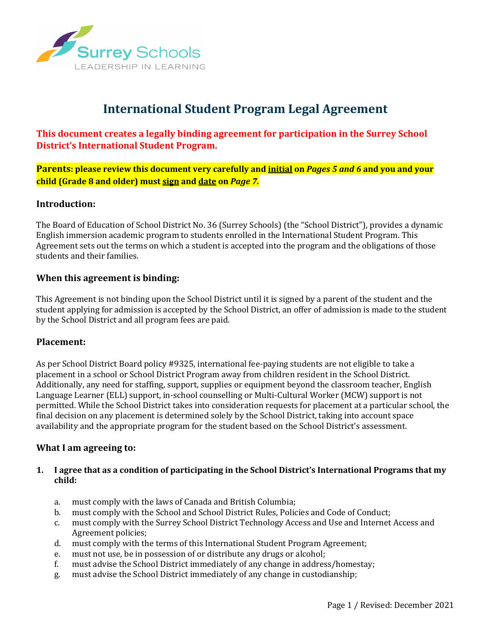

# **International Student Program Legal Agreement**

**This document creates a legally binding agreement for participation in the Surrey School District's International Student Program.**

**Parents: please review this document very carefully and initial on** *Pages 5 and 6* **and you and your child (Grade 8 and older) must sign and date on** *Page 7.*

## **Introduction:**

The Board of Education of School District No. 36 (Surrey Schools) (the "School District"), provides a dynamic English immersion academic program to students enrolled in the International Student Program. This Agreement sets out the terms on which a student is accepted into the program and the obligations of those students and their families.

## **When this agreement is binding:**

This Agreement is not binding upon the School District until it is signed by a parent of the student and the student applying for admission is accepted by the School District, an offer of admission is made to the student by the School District and all program fees are paid.

## **Placement:**

As per School District Board policy #9325, international fee-paying students are not eligible to take a placement in a school or School District Program away from children resident in the School District. Additionally, any need for staffing, support, supplies or equipment beyond the classroom teacher, English Language Learner (ELL) support, in-school counselling or Multi-Cultural Worker (MCW) support is not permitted. While the School District takes into consideration requests for placement at a particular school, the final decision on any placement is determined solely by the School District, taking into account space availability and the appropriate program for the student based on the School District's assessment.

# **What I am agreeing to:**

## **1.** I agree that as a condition of participating in the School District's International Programs that my **child:**

- a. must comply with the laws of Canada and British Columbia;
- b. must comply with the School and School District Rules, Policies and Code of Conduct;
- c. must comply with the Surrey School District Technology Access and Use and Internet Access and Agreement policies;
- d. must comply with the terms of this International Student Program Agreement;
- e. must not use, be in possession of or distribute any drugs or alcohol;
- f. must advise the School District immediately of any change in address/homestay;
- g. must advise the School District immediately of any change in custodianship;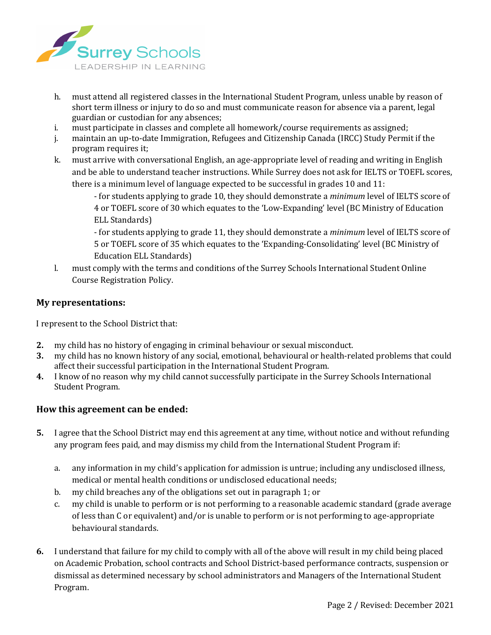

- h. must attend all registered classes in the International Student Program, unless unable by reason of short term illness or injury to do so and must communicate reason for absence via a parent, legal guardian or custodian for any absences;
- i. must participate in classes and complete all homework/course requirements as assigned;
- j. maintain an up-to-date Immigration, Refugees and Citizenship Canada (IRCC) Study Permit if the program requires it;
- k. must arrive with conversational English, an age-appropriate level of reading and writing in English and be able to understand teacher instructions. While Surrey does not ask for IELTS or TOEFL scores, there is a minimum level of language expected to be successful in grades 10 and  $11$ :

- for students applying to grade 10, they should demonstrate a *minimum* level of IELTS score of 4 or TOEFL score of 30 which equates to the 'Low-Expanding' level (BC Ministry of Education ELL Standards)

- for students applying to grade 11, they should demonstrate a *minimum* level of IELTS score of 5 or TOEFL score of 35 which equates to the 'Expanding-Consolidating' level (BC Ministry of Education ELL Standards)

l. must comply with the terms and conditions of the Surrey Schools International Student Online Course Registration Policy. 

# **My representations:**

I represent to the School District that:

- **2.** my child has no history of engaging in criminal behaviour or sexual misconduct.
- **3.** my child has no known history of any social, emotional, behavioural or health-related problems that could affect their successful participation in the International Student Program.
- **4.** I know of no reason why my child cannot successfully participate in the Surrey Schools International Student Program.

# How this agreement can be ended:

- **5.** I agree that the School District may end this agreement at any time, without notice and without refunding any program fees paid, and may dismiss my child from the International Student Program if:
	- a. any information in my child's application for admission is untrue; including any undisclosed illness, medical or mental health conditions or undisclosed educational needs;
	- b. my child breaches any of the obligations set out in paragraph 1; or
	- c. my child is unable to perform or is not performing to a reasonable academic standard (grade average of less than C or equivalent) and/or is unable to perform or is not performing to age-appropriate behavioural standards.
- **6.** I understand that failure for my child to comply with all of the above will result in my child being placed on Academic Probation, school contracts and School District-based performance contracts, suspension or dismissal as determined necessary by school administrators and Managers of the International Student Program.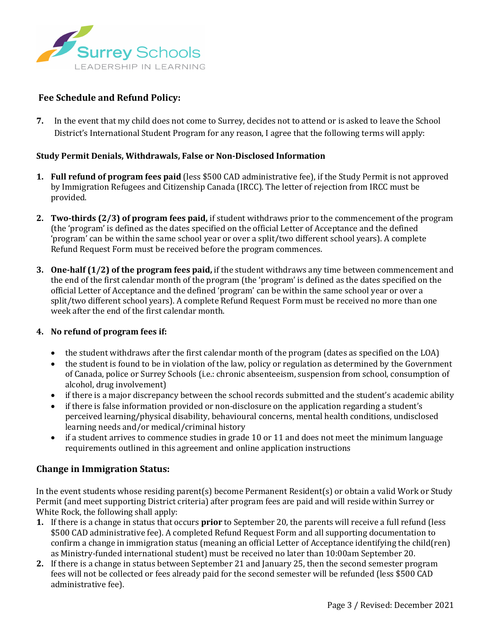

## **Fee Schedule and Refund Policy:**

**7.** In the event that my child does not come to Surrey, decides not to attend or is asked to leave the School District's International Student Program for any reason, I agree that the following terms will apply:

#### **Study Permit Denials, Withdrawals, False or Non-Disclosed Information**

- **1.** Full refund of program fees paid (less \$500 CAD administrative fee), if the Study Permit is not approved by Immigration Refugees and Citizenship Canada (IRCC). The letter of rejection from IRCC must be provided.
- **2. Two-thirds** (2/3) of program fees paid, if student withdraws prior to the commencement of the program (the 'program' is defined as the dates specified on the official Letter of Acceptance and the defined 'program' can be within the same school year or over a split/two different school years). A complete Refund Request Form must be received before the program commences.
- **3.** One-half (1/2) of the program fees paid, if the student withdraws any time between commencement and the end of the first calendar month of the program (the 'program' is defined as the dates specified on the official Letter of Acceptance and the defined 'program' can be within the same school year or over a split/two different school years). A complete Refund Request Form must be received no more than one week after the end of the first calendar month.

#### **4. No refund of program fees if:**

- the student withdraws after the first calendar month of the program (dates as specified on the LOA)
- the student is found to be in violation of the law, policy or regulation as determined by the Government of Canada, police or Surrey Schools (i.e.: chronic absenteeism, suspension from school, consumption of alcohol, drug involvement)
- if there is a major discrepancy between the school records submitted and the student's academic ability
- if there is false information provided or non-disclosure on the application regarding a student's perceived learning/physical disability, behavioural concerns, mental health conditions, undisclosed learning needs and/or medical/criminal history
- if a student arrives to commence studies in grade 10 or 11 and does not meet the minimum language requirements outlined in this agreement and online application instructions

## **Change in Immigration Status:**

In the event students whose residing parent(s) become Permanent Resident(s) or obtain a valid Work or Study Permit (and meet supporting District criteria) after program fees are paid and will reside within Surrey or White Rock, the following shall apply:

- **1.** If there is a change in status that occurs **prior** to September 20, the parents will receive a full refund (less \$500 CAD administrative fee). A completed Refund Request Form and all supporting documentation to confirm a change in immigration status (meaning an official Letter of Acceptance identifying the child(ren) as Ministry-funded international student) must be received no later than 10:00am September 20.
- **2.** If there is a change in status between September 21 and January 25, then the second semester program fees will not be collected or fees already paid for the second semester will be refunded (less \$500 CAD administrative fee).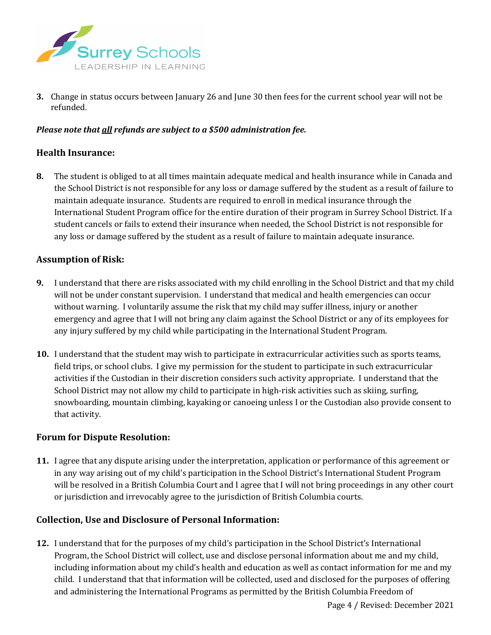

**3.** Change in status occurs between January 26 and June 30 then fees for the current school year will not be refunded. 

## *Please note that all refunds are subject to a \$500 administration fee.*

## **Health Insurance:**

**8.** The student is obliged to at all times maintain adequate medical and health insurance while in Canada and the School District is not responsible for any loss or damage suffered by the student as a result of failure to maintain adequate insurance. Students are required to enroll in medical insurance through the International Student Program office for the entire duration of their program in Surrey School District. If a student cancels or fails to extend their insurance when needed, the School District is not responsible for any loss or damage suffered by the student as a result of failure to maintain adequate insurance.

## **Assumption of Risk:**

- **9.** I understand that there are risks associated with my child enrolling in the School District and that my child will not be under constant supervision. I understand that medical and health emergencies can occur without warning. I voluntarily assume the risk that my child may suffer illness, injury or another emergency and agree that I will not bring any claim against the School District or any of its employees for any injury suffered by my child while participating in the International Student Program.
- **10.** I understand that the student may wish to participate in extracurricular activities such as sports teams, field trips, or school clubs. I give my permission for the student to participate in such extracurricular activities if the Custodian in their discretion considers such activity appropriate. I understand that the School District may not allow my child to participate in high-risk activities such as skiing, surfing, snowboarding, mountain climbing, kayaking or canoeing unless I or the Custodian also provide consent to that activity.

# **Forum for Dispute Resolution:**

**11.** I agree that any dispute arising under the interpretation, application or performance of this agreement or in any way arising out of my child's participation in the School District's International Student Program will be resolved in a British Columbia Court and I agree that I will not bring proceedings in any other court or jurisdiction and irrevocably agree to the jurisdiction of British Columbia courts.

## **Collection, Use and Disclosure of Personal Information:**

**12.** I understand that for the purposes of my child's participation in the School District's International Program, the School District will collect, use and disclose personal information about me and my child, including information about my child's health and education as well as contact information for me and my child. I understand that that information will be collected, used and disclosed for the purposes of offering and administering the International Programs as permitted by the British Columbia Freedom of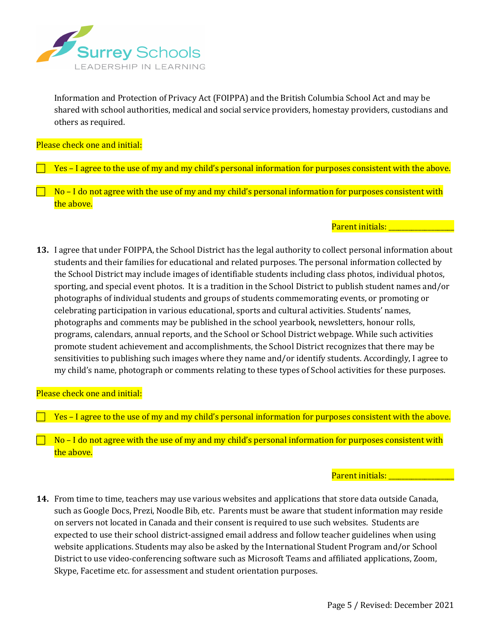

Information and Protection of Privacy Act (FOIPPA) and the British Columbia School Act and may be shared with school authorities, medical and social service providers, homestay providers, custodians and others as required.

#### Please check one and initial:

Yes – I agree to the use of my and my child's personal information for purposes consistent with the above.

 $No$  – I do not agree with the use of my and my child's personal information for purposes consistent with the above.

#### Parent initials: Letter

**13.** I agree that under FOIPPA, the School District has the legal authority to collect personal information about students and their families for educational and related purposes. The personal information collected by the School District may include images of identifiable students including class photos, individual photos, sporting, and special event photos. It is a tradition in the School District to publish student names and/or photographs of individual students and groups of students commemorating events, or promoting or celebrating participation in various educational, sports and cultural activities. Students' names, photographs and comments may be published in the school yearbook, newsletters, honour rolls, programs, calendars, annual reports, and the School or School District webpage. While such activities promote student achievement and accomplishments, the School District recognizes that there may be sensitivities to publishing such images where they name and/or identify students. Accordingly, I agree to my child's name, photograph or comments relating to these types of School activities for these purposes.

#### Please check one and initial:

Yes – I agree to the use of my and my child's personal information for purposes consistent with the above.

 $No$  – I do not agree with the use of my and my child's personal information for purposes consistent with the above.

#### Parent initials: \_\_\_\_\_\_\_\_\_\_\_\_\_\_\_\_

**14.** From time to time, teachers may use various websites and applications that store data outside Canada, such as Google Docs, Prezi, Noodle Bib, etc. Parents must be aware that student information may reside on servers not located in Canada and their consent is required to use such websites. Students are expected to use their school district-assigned email address and follow teacher guidelines when using website applications. Students may also be asked by the International Student Program and/or School District to use video-conferencing software such as Microsoft Teams and affiliated applications, Zoom, Skype, Facetime etc. for assessment and student orientation purposes.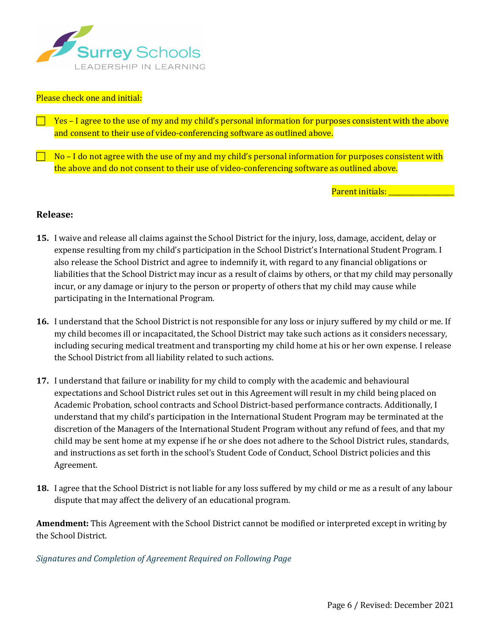

#### Please check one and initial:

Yes – I agree to the use of my and my child's personal information for purposes consistent with the above and consent to their use of video-conferencing software as outlined above.

 $\overline{a}$  No – I do not agree with the use of my and my child's personal information for purposes consistent with the above and do not consent to their use of video-conferencing software as outlined above.

Parent initials: \_\_\_\_\_\_\_\_\_\_\_\_\_\_\_\_\_\_\_\_

## **Release:**

- **15.** I waive and release all claims against the School District for the injury, loss, damage, accident, delay or expense resulting from my child's participation in the School District's International Student Program. I also release the School District and agree to indemnify it, with regard to any financial obligations or liabilities that the School District may incur as a result of claims by others, or that my child may personally incur, or any damage or injury to the person or property of others that my child may cause while participating in the International Program.
- **16.** I understand that the School District is not responsible for any loss or injury suffered by my child or me. If my child becomes ill or incapacitated, the School District may take such actions as it considers necessary, including securing medical treatment and transporting my child home at his or her own expense. I release the School District from all liability related to such actions.
- **17.** I understand that failure or inability for my child to comply with the academic and behavioural expectations and School District rules set out in this Agreement will result in my child being placed on Academic Probation, school contracts and School District-based performance contracts. Additionally, I understand that my child's participation in the International Student Program may be terminated at the discretion of the Managers of the International Student Program without any refund of fees, and that my child may be sent home at my expense if he or she does not adhere to the School District rules, standards, and instructions as set forth in the school's Student Code of Conduct, School District policies and this Agreement.
- **18.** I agree that the School District is not liable for any loss suffered by my child or me as a result of any labour dispute that may affect the delivery of an educational program.

**Amendment:** This Agreement with the School District cannot be modified or interpreted except in writing by the School District.

#### Signatures and Completion of Agreement Required on Following Page